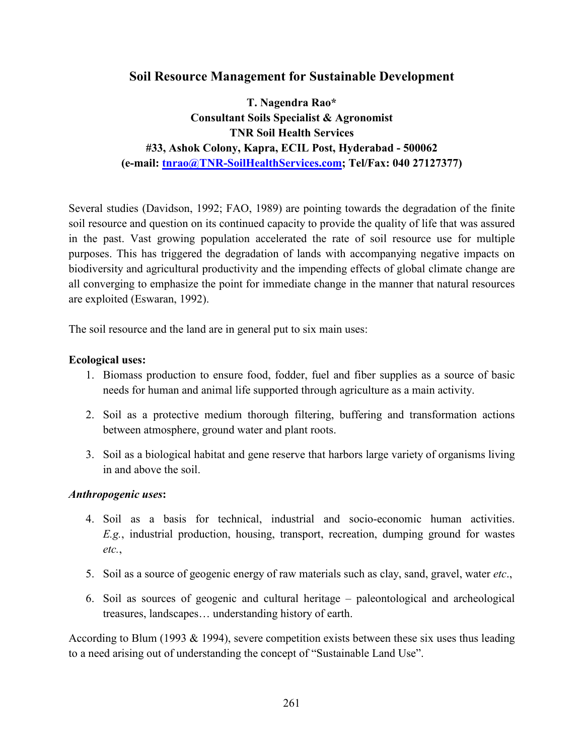# Soil Resource Management for Sustainable Development

T. Nagendra Rao\* Consultant Soils Specialist & Agronomist TNR Soil Health Services #33, Ashok Colony, Kapra, ECIL Post, Hyderabad - 500062 (e-mail: tnrao@TNR-SoilHealthServices.com; Tel/Fax: 040 27127377)

Several studies (Davidson, 1992; FAO, 1989) are pointing towards the degradation of the finite soil resource and question on its continued capacity to provide the quality of life that was assured in the past. Vast growing population accelerated the rate of soil resource use for multiple purposes. This has triggered the degradation of lands with accompanying negative impacts on biodiversity and agricultural productivity and the impending effects of global climate change are all converging to emphasize the point for immediate change in the manner that natural resources are exploited (Eswaran, 1992).

The soil resource and the land are in general put to six main uses:

#### Ecological uses:

- 1. Biomass production to ensure food, fodder, fuel and fiber supplies as a source of basic needs for human and animal life supported through agriculture as a main activity.
- 2. Soil as a protective medium thorough filtering, buffering and transformation actions between atmosphere, ground water and plant roots.
- 3. Soil as a biological habitat and gene reserve that harbors large variety of organisms living in and above the soil.

#### Anthropogenic uses:

- 4. Soil as a basis for technical, industrial and socio-economic human activities. E.g., industrial production, housing, transport, recreation, dumping ground for wastes etc.,
- 5. Soil as a source of geogenic energy of raw materials such as clay, sand, gravel, water *etc.*,
- 6. Soil as sources of geogenic and cultural heritage paleontological and archeological treasures, landscapes… understanding history of earth.

According to Blum (1993 & 1994), severe competition exists between these six uses thus leading to a need arising out of understanding the concept of "Sustainable Land Use".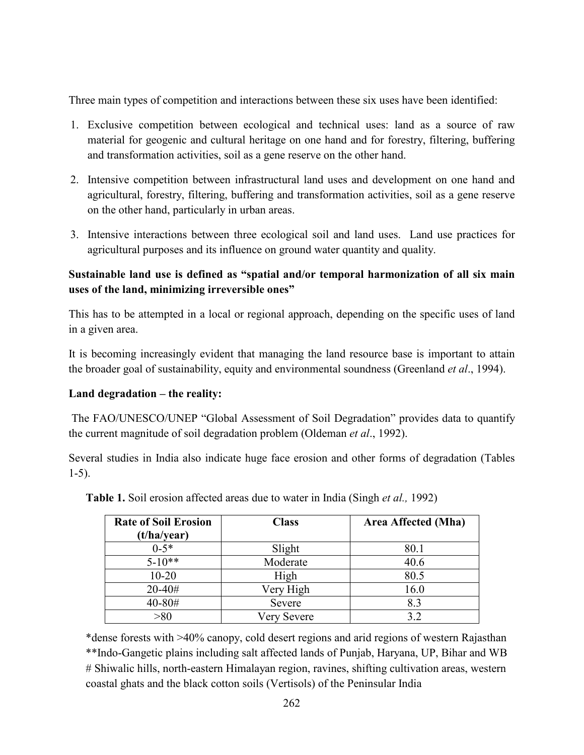Three main types of competition and interactions between these six uses have been identified:

- 1. Exclusive competition between ecological and technical uses: land as a source of raw material for geogenic and cultural heritage on one hand and for forestry, filtering, buffering and transformation activities, soil as a gene reserve on the other hand.
- 2. Intensive competition between infrastructural land uses and development on one hand and agricultural, forestry, filtering, buffering and transformation activities, soil as a gene reserve on the other hand, particularly in urban areas.
- 3. Intensive interactions between three ecological soil and land uses. Land use practices for agricultural purposes and its influence on ground water quantity and quality.

# Sustainable land use is defined as "spatial and/or temporal harmonization of all six main uses of the land, minimizing irreversible ones"

This has to be attempted in a local or regional approach, depending on the specific uses of land in a given area.

It is becoming increasingly evident that managing the land resource base is important to attain the broader goal of sustainability, equity and environmental soundness (Greenland *et al.*, 1994).

## Land degradation – the reality:

 The FAO/UNESCO/UNEP "Global Assessment of Soil Degradation" provides data to quantify the current magnitude of soil degradation problem (Oldeman et al., 1992).

Several studies in India also indicate huge face erosion and other forms of degradation (Tables 1-5).

| <b>Rate of Soil Erosion</b><br>(t/ha/year) | <b>Class</b> | Area Affected (Mha) |  |
|--------------------------------------------|--------------|---------------------|--|
| $0-5*$                                     | Slight       | 80.1                |  |
| $5 - 10**$                                 | Moderate     | 40.6                |  |
| $10 - 20$                                  | High         | 80.5                |  |
| $20 - 40#$                                 | Very High    | 16.0                |  |
| 40-80#                                     | Severe       | 8.3                 |  |
| >80                                        | Very Severe  | 3.2                 |  |

Table 1. Soil erosion affected areas due to water in India (Singh et al., 1992)

\*dense forests with >40% canopy, cold desert regions and arid regions of western Rajasthan \*\*Indo-Gangetic plains including salt affected lands of Punjab, Haryana, UP, Bihar and WB # Shiwalic hills, north-eastern Himalayan region, ravines, shifting cultivation areas, western coastal ghats and the black cotton soils (Vertisols) of the Peninsular India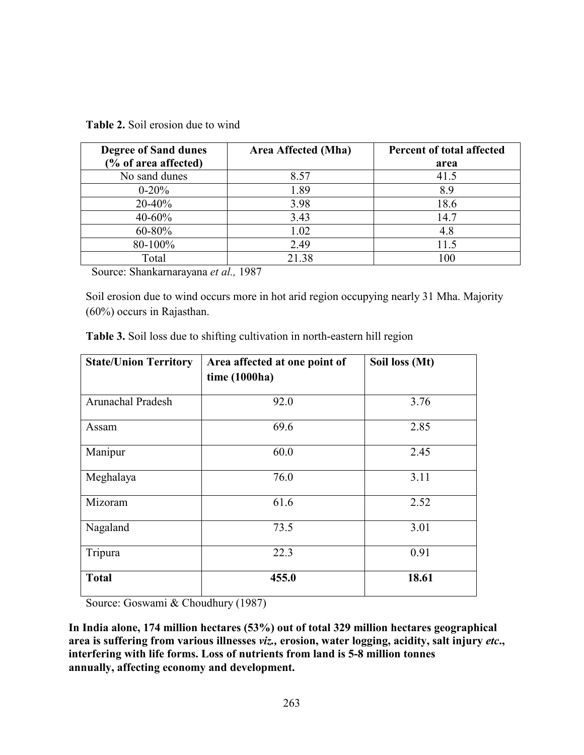| <b>Degree of Sand dunes</b> | Area Affected (Mha) | Percent of total affected |
|-----------------------------|---------------------|---------------------------|
| (% of area affected)        |                     | area                      |
| No sand dunes               | 8.57                | 41.5                      |
| $0 - 20%$                   | 1.89                | 8.9                       |
| $20 - 40%$                  | 3.98                | 18.6                      |
| $40 - 60\%$                 | 3.43                | 14.7                      |
| $60 - 80\%$                 | 1.02                | 4.8                       |
| 80-100%                     | 2.49                | 11.5                      |
| Total                       | 21.38               | 100                       |

Table 2. Soil erosion due to wind

Source: Shankarnarayana et al., 1987

Soil erosion due to wind occurs more in hot arid region occupying nearly 31 Mha. Majority (60%) occurs in Rajasthan.

| <b>State/Union Territory</b> | Area affected at one point of<br>time (1000ha) | Soil loss (Mt) |  |
|------------------------------|------------------------------------------------|----------------|--|
| Arunachal Pradesh            | 92.0                                           | 3.76           |  |
| Assam                        | 69.6                                           | 2.85           |  |
| Manipur                      | 60.0                                           | 2.45           |  |
| Meghalaya                    | 76.0                                           | 3.11           |  |
| Mizoram                      | 61.6                                           | 2.52           |  |
| Nagaland                     | 73.5                                           | 3.01           |  |
| Tripura                      | 22.3                                           | 0.91           |  |
| <b>Total</b>                 | 455.0                                          | 18.61          |  |

Table 3. Soil loss due to shifting cultivation in north-eastern hill region

Source: Goswami & Choudhury (1987)

In India alone, 174 million hectares (53%) out of total 329 million hectares geographical area is suffering from various illnesses viz., erosion, water logging, acidity, salt injury etc., interfering with life forms. Loss of nutrients from land is 5-8 million tonnes annually, affecting economy and development.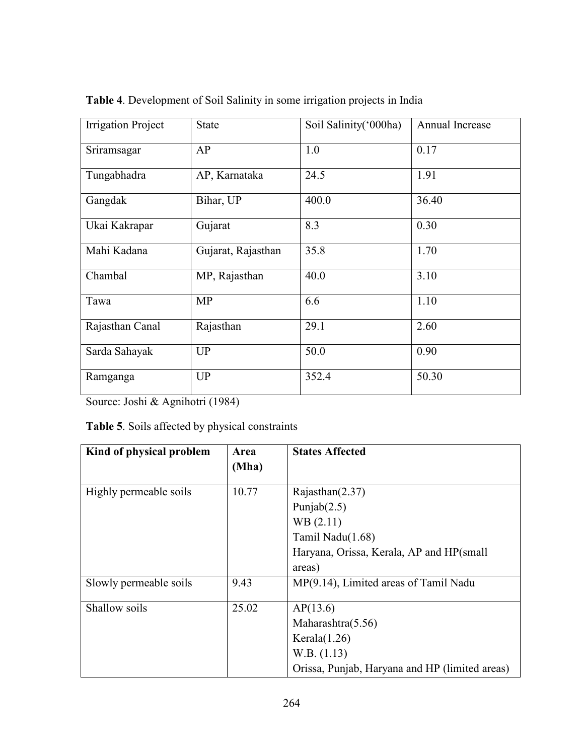| <b>Irrigation Project</b> | <b>State</b>       | Soil Salinity ('000ha) | Annual Increase |
|---------------------------|--------------------|------------------------|-----------------|
| Sriramsagar               | AP                 | 1.0                    | 0.17            |
| Tungabhadra               | AP, Karnataka      | 24.5                   | 1.91            |
| Gangdak                   | Bihar, UP          | 400.0                  | 36.40           |
| Ukai Kakrapar             | Gujarat            | 8.3                    | 0.30            |
| Mahi Kadana               | Gujarat, Rajasthan | 35.8                   | 1.70            |
| Chambal                   | MP, Rajasthan      | 40.0                   | 3.10            |
| Tawa                      | <b>MP</b>          | 6.6                    | 1.10            |
| Rajasthan Canal           | Rajasthan          | 29.1                   | 2.60            |
| Sarda Sahayak             | UP                 | 50.0                   | 0.90            |
| Ramganga                  | UP                 | 352.4                  | 50.30           |

Table 4. Development of Soil Salinity in some irrigation projects in India

Source: Joshi & Agnihotri (1984)

Table 5. Soils affected by physical constraints

| Kind of physical problem | Area<br>(Mha) | <b>States Affected</b>                         |
|--------------------------|---------------|------------------------------------------------|
| Highly permeable soils   | 10.77         | Rajasthan $(2.37)$                             |
|                          |               | Punjab $(2.5)$                                 |
|                          |               | WB(2.11)                                       |
|                          |               | Tamil Nadu(1.68)                               |
|                          |               | Haryana, Orissa, Kerala, AP and HP(small       |
|                          |               | areas)                                         |
| Slowly permeable soils   | 9.43          | MP(9.14), Limited areas of Tamil Nadu          |
| Shallow soils            | 25.02         | AP(13.6)                                       |
|                          |               | Maharashtra $(5.56)$                           |
|                          |               | Kerala $(1.26)$                                |
|                          |               | W.B. (1.13)                                    |
|                          |               | Orissa, Punjab, Haryana and HP (limited areas) |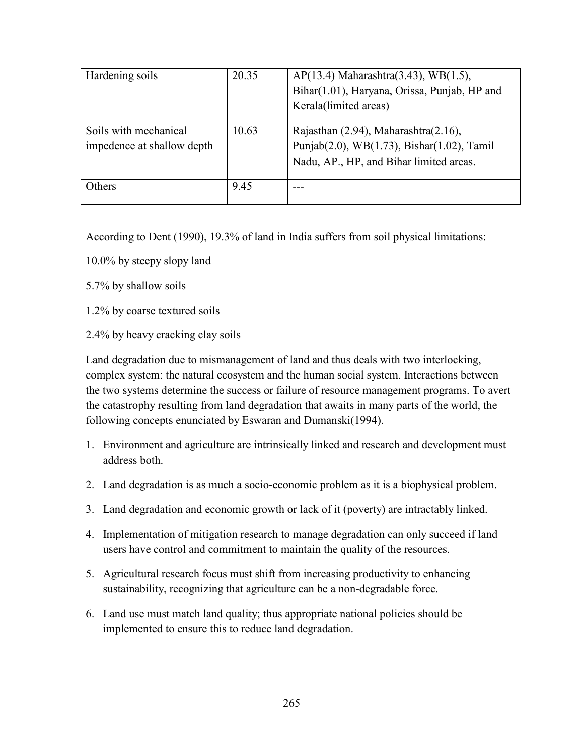| Hardening soils            | 20.35 | $AP(13.4)$ Maharashtra $(3.43)$ , WB $(1.5)$ , |
|----------------------------|-------|------------------------------------------------|
|                            |       | Bihar(1.01), Haryana, Orissa, Punjab, HP and   |
|                            |       | Kerala(limited areas)                          |
|                            |       |                                                |
| Soils with mechanical      | 10.63 | Rajasthan $(2.94)$ , Maharashtra $(2.16)$ ,    |
| impedence at shallow depth |       | Punjab(2.0), WB(1.73), Bishar(1.02), Tamil     |
|                            |       | Nadu, AP., HP, and Bihar limited areas.        |
| Others                     | 9.45  |                                                |
|                            |       |                                                |

According to Dent (1990), 19.3% of land in India suffers from soil physical limitations:

- 10.0% by steepy slopy land
- 5.7% by shallow soils
- 1.2% by coarse textured soils
- 2.4% by heavy cracking clay soils

Land degradation due to mismanagement of land and thus deals with two interlocking, complex system: the natural ecosystem and the human social system. Interactions between the two systems determine the success or failure of resource management programs. To avert the catastrophy resulting from land degradation that awaits in many parts of the world, the following concepts enunciated by Eswaran and Dumanski(1994).

- 1. Environment and agriculture are intrinsically linked and research and development must address both.
- 2. Land degradation is as much a socio-economic problem as it is a biophysical problem.
- 3. Land degradation and economic growth or lack of it (poverty) are intractably linked.
- 4. Implementation of mitigation research to manage degradation can only succeed if land users have control and commitment to maintain the quality of the resources.
- 5. Agricultural research focus must shift from increasing productivity to enhancing sustainability, recognizing that agriculture can be a non-degradable force.
- 6. Land use must match land quality; thus appropriate national policies should be implemented to ensure this to reduce land degradation.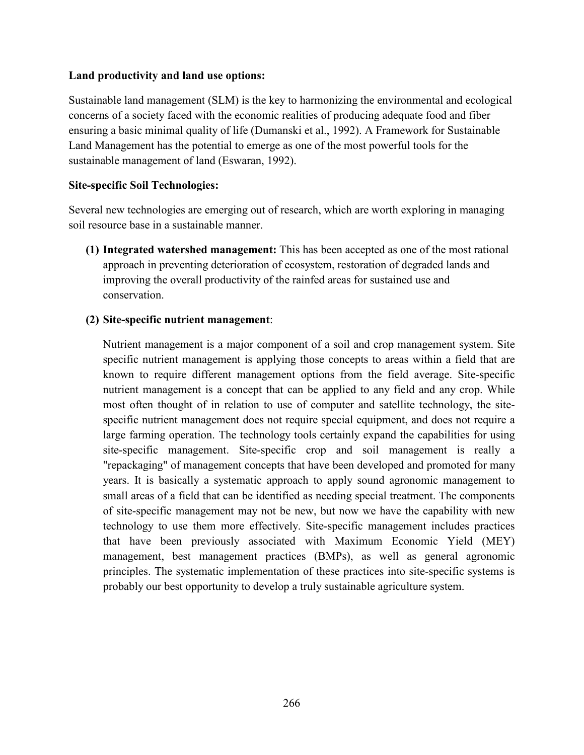## Land productivity and land use options:

Sustainable land management (SLM) is the key to harmonizing the environmental and ecological concerns of a society faced with the economic realities of producing adequate food and fiber ensuring a basic minimal quality of life (Dumanski et al., 1992). A Framework for Sustainable Land Management has the potential to emerge as one of the most powerful tools for the sustainable management of land (Eswaran, 1992).

## Site-specific Soil Technologies:

Several new technologies are emerging out of research, which are worth exploring in managing soil resource base in a sustainable manner.

(1) Integrated watershed management: This has been accepted as one of the most rational approach in preventing deterioration of ecosystem, restoration of degraded lands and improving the overall productivity of the rainfed areas for sustained use and conservation.

### (2) Site-specific nutrient management:

Nutrient management is a major component of a soil and crop management system. Site specific nutrient management is applying those concepts to areas within a field that are known to require different management options from the field average. Site-specific nutrient management is a concept that can be applied to any field and any crop. While most often thought of in relation to use of computer and satellite technology, the sitespecific nutrient management does not require special equipment, and does not require a large farming operation. The technology tools certainly expand the capabilities for using site-specific management. Site-specific crop and soil management is really a "repackaging" of management concepts that have been developed and promoted for many years. It is basically a systematic approach to apply sound agronomic management to small areas of a field that can be identified as needing special treatment. The components of site-specific management may not be new, but now we have the capability with new technology to use them more effectively. Site-specific management includes practices that have been previously associated with Maximum Economic Yield (MEY) management, best management practices (BMPs), as well as general agronomic principles. The systematic implementation of these practices into site-specific systems is probably our best opportunity to develop a truly sustainable agriculture system.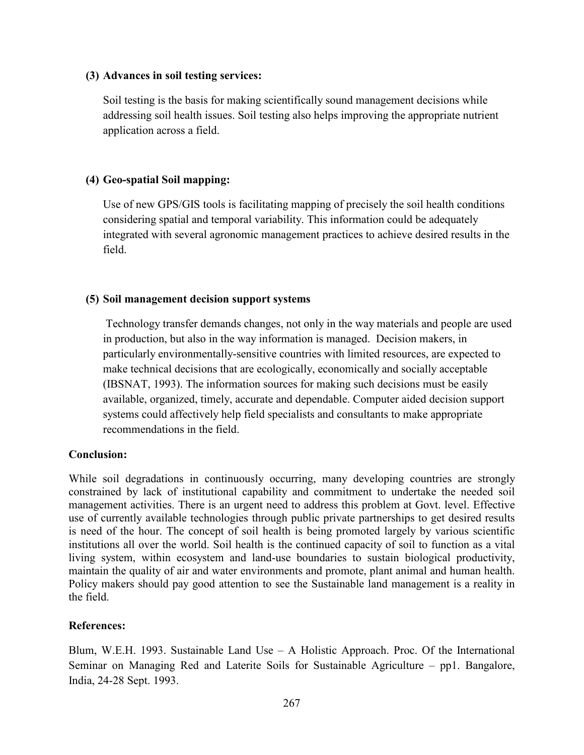### (3) Advances in soil testing services:

Soil testing is the basis for making scientifically sound management decisions while addressing soil health issues. Soil testing also helps improving the appropriate nutrient application across a field.

## (4) Geo-spatial Soil mapping:

Use of new GPS/GIS tools is facilitating mapping of precisely the soil health conditions considering spatial and temporal variability. This information could be adequately integrated with several agronomic management practices to achieve desired results in the field.

## (5) Soil management decision support systems

 Technology transfer demands changes, not only in the way materials and people are used in production, but also in the way information is managed. Decision makers, in particularly environmentally-sensitive countries with limited resources, are expected to make technical decisions that are ecologically, economically and socially acceptable (IBSNAT, 1993). The information sources for making such decisions must be easily available, organized, timely, accurate and dependable. Computer aided decision support systems could affectively help field specialists and consultants to make appropriate recommendations in the field.

## Conclusion:

While soil degradations in continuously occurring, many developing countries are strongly constrained by lack of institutional capability and commitment to undertake the needed soil management activities. There is an urgent need to address this problem at Govt. level. Effective use of currently available technologies through public private partnerships to get desired results is need of the hour. The concept of soil health is being promoted largely by various scientific institutions all over the world. Soil health is the continued capacity of soil to function as a vital living system, within ecosystem and land-use boundaries to sustain biological productivity, maintain the quality of air and water environments and promote, plant animal and human health. Policy makers should pay good attention to see the Sustainable land management is a reality in the field.

## References:

Blum, W.E.H. 1993. Sustainable Land Use  $-$  A Holistic Approach. Proc. Of the International Seminar on Managing Red and Laterite Soils for Sustainable Agriculture – pp1. Bangalore, India, 24-28 Sept. 1993.